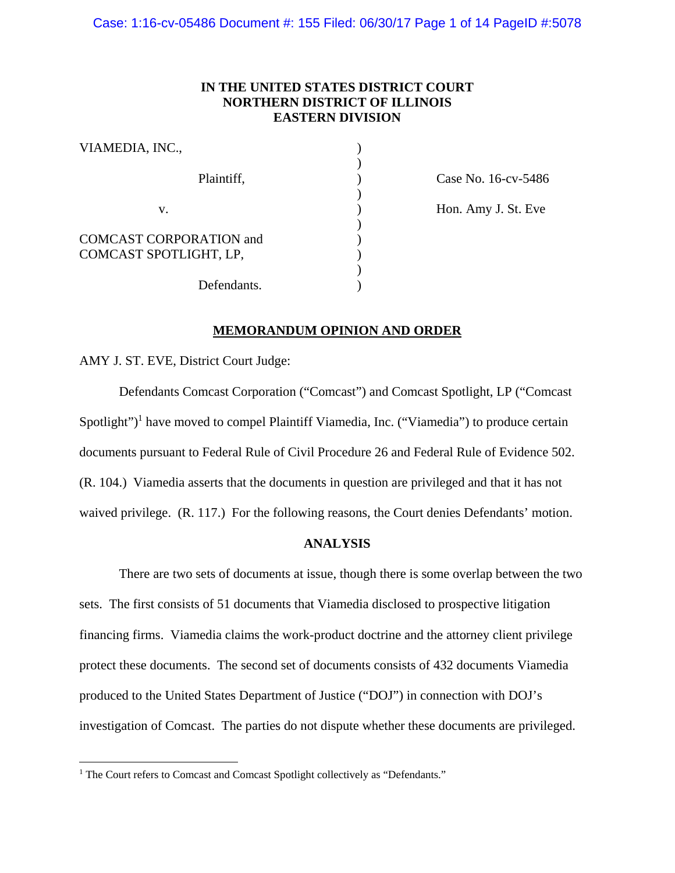# **IN THE UNITED STATES DISTRICT COURT NORTHERN DISTRICT OF ILLINOIS EASTERN DIVISION**

| VIAMEDIA, INC.,                                          |  |
|----------------------------------------------------------|--|
| Plaintiff,                                               |  |
| V.                                                       |  |
| <b>COMCAST CORPORATION and</b><br>COMCAST SPOTLIGHT, LP, |  |
| Defendants.                                              |  |

) Case No. 16-cv-5486

) Hon. Amy J. St. Eve

# **MEMORANDUM OPINION AND ORDER**

AMY J. ST. EVE, District Court Judge:

 $\overline{a}$ 

 Defendants Comcast Corporation ("Comcast") and Comcast Spotlight, LP ("Comcast Spotlight")<sup>1</sup> have moved to compel Plaintiff Viamedia, Inc. ("Viamedia") to produce certain documents pursuant to Federal Rule of Civil Procedure 26 and Federal Rule of Evidence 502. (R. 104.) Viamedia asserts that the documents in question are privileged and that it has not waived privilege. (R. 117.) For the following reasons, the Court denies Defendants' motion.

## **ANALYSIS**

There are two sets of documents at issue, though there is some overlap between the two sets. The first consists of 51 documents that Viamedia disclosed to prospective litigation financing firms. Viamedia claims the work-product doctrine and the attorney client privilege protect these documents. The second set of documents consists of 432 documents Viamedia produced to the United States Department of Justice ("DOJ") in connection with DOJ's investigation of Comcast. The parties do not dispute whether these documents are privileged.

<sup>&</sup>lt;sup>1</sup> The Court refers to Comcast and Comcast Spotlight collectively as "Defendants."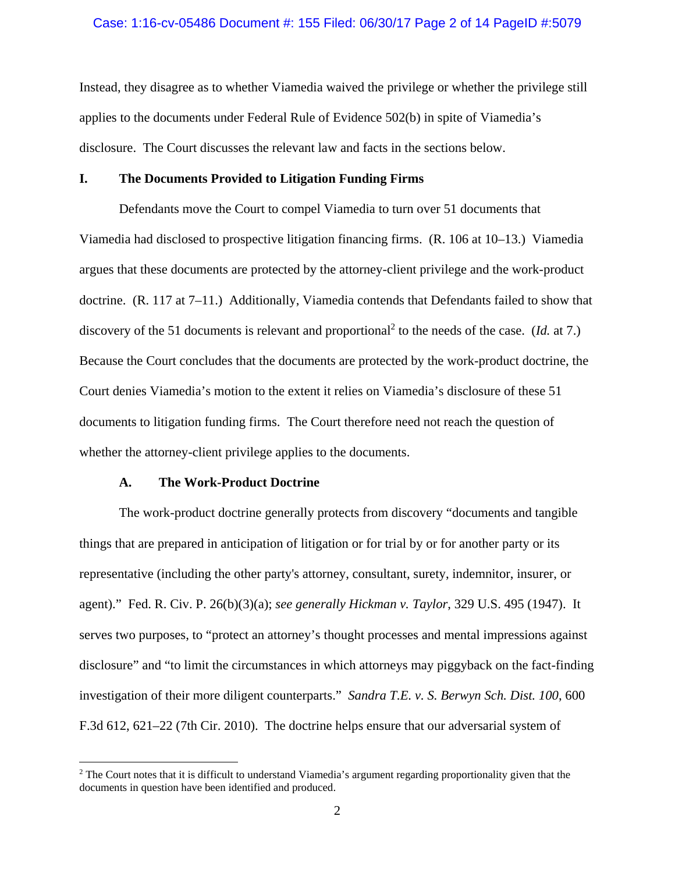#### Case: 1:16-cv-05486 Document #: 155 Filed: 06/30/17 Page 2 of 14 PageID #:5079

Instead, they disagree as to whether Viamedia waived the privilege or whether the privilege still applies to the documents under Federal Rule of Evidence 502(b) in spite of Viamedia's disclosure. The Court discusses the relevant law and facts in the sections below.

## **I. The Documents Provided to Litigation Funding Firms**

Defendants move the Court to compel Viamedia to turn over 51 documents that Viamedia had disclosed to prospective litigation financing firms. (R. 106 at 10–13.) Viamedia argues that these documents are protected by the attorney-client privilege and the work-product doctrine. (R. 117 at 7–11.) Additionally, Viamedia contends that Defendants failed to show that discovery of the 51 documents is relevant and proportional<sup>2</sup> to the needs of the case. (*Id.* at 7.) Because the Court concludes that the documents are protected by the work-product doctrine, the Court denies Viamedia's motion to the extent it relies on Viamedia's disclosure of these 51 documents to litigation funding firms. The Court therefore need not reach the question of whether the attorney-client privilege applies to the documents.

### **A. The Work-Product Doctrine**

 $\overline{a}$ 

The work-product doctrine generally protects from discovery "documents and tangible things that are prepared in anticipation of litigation or for trial by or for another party or its representative (including the other party's attorney, consultant, surety, indemnitor, insurer, or agent)." Fed. R. Civ. P. 26(b)(3)(a); *see generally Hickman v. Taylor*, 329 U.S. 495 (1947). It serves two purposes, to "protect an attorney's thought processes and mental impressions against disclosure" and "to limit the circumstances in which attorneys may piggyback on the fact-finding investigation of their more diligent counterparts." *Sandra T.E. v. S. Berwyn Sch. Dist. 100*, 600 F.3d 612, 621–22 (7th Cir. 2010). The doctrine helps ensure that our adversarial system of

<sup>&</sup>lt;sup>2</sup> The Court notes that it is difficult to understand Viamedia's argument regarding proportionality given that the documents in question have been identified and produced.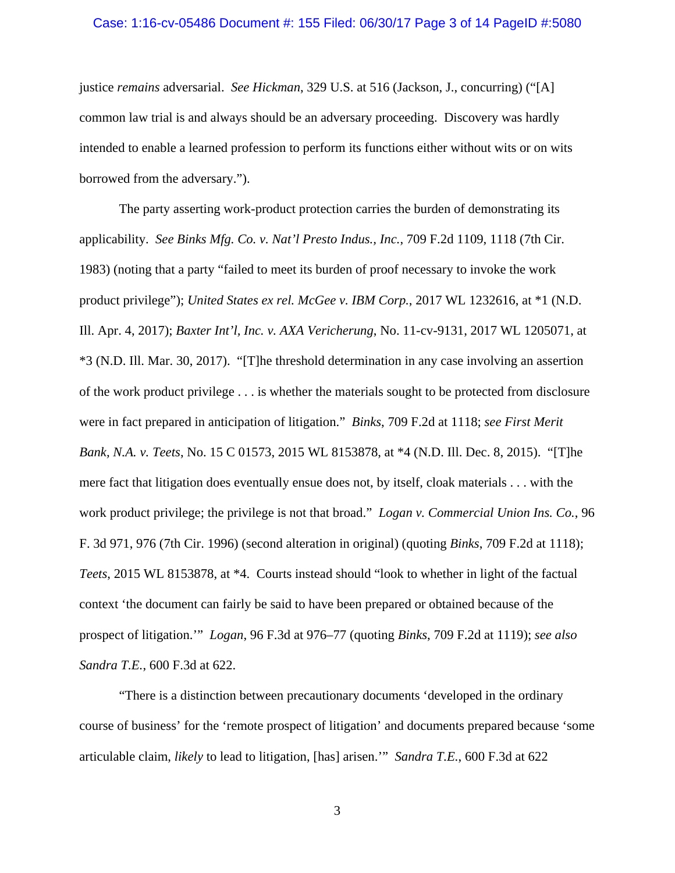### Case: 1:16-cv-05486 Document #: 155 Filed: 06/30/17 Page 3 of 14 PageID #:5080

justice *remains* adversarial. *See Hickman*, 329 U.S. at 516 (Jackson, J., concurring) ("[A] common law trial is and always should be an adversary proceeding. Discovery was hardly intended to enable a learned profession to perform its functions either without wits or on wits borrowed from the adversary.").

 The party asserting work-product protection carries the burden of demonstrating its applicability. *See Binks Mfg. Co. v. Nat'l Presto Indus., Inc.*, 709 F.2d 1109, 1118 (7th Cir. 1983) (noting that a party "failed to meet its burden of proof necessary to invoke the work product privilege"); *United States ex rel. McGee v. IBM Corp.*, 2017 WL 1232616, at \*1 (N.D. Ill. Apr. 4, 2017); *Baxter Int'l, Inc. v. AXA Vericherung*, No. 11-cv-9131, 2017 WL 1205071, at \*3 (N.D. Ill. Mar. 30, 2017). "[T]he threshold determination in any case involving an assertion of the work product privilege . . . is whether the materials sought to be protected from disclosure were in fact prepared in anticipation of litigation." *Binks*, 709 F.2d at 1118; *see First Merit Bank, N.A. v. Teets*, No. 15 C 01573, 2015 WL 8153878, at \*4 (N.D. Ill. Dec. 8, 2015). "[T]he mere fact that litigation does eventually ensue does not, by itself, cloak materials . . . with the work product privilege; the privilege is not that broad." *Logan v. Commercial Union Ins. Co.*, 96 F. 3d 971, 976 (7th Cir. 1996) (second alteration in original) (quoting *Binks*, 709 F.2d at 1118); *Teets*, 2015 WL 8153878, at \*4. Courts instead should "look to whether in light of the factual context 'the document can fairly be said to have been prepared or obtained because of the prospect of litigation.'" *Logan*, 96 F.3d at 976–77 (quoting *Binks*, 709 F.2d at 1119); *see also Sandra T.E.*, 600 F.3d at 622.

"There is a distinction between precautionary documents 'developed in the ordinary course of business' for the 'remote prospect of litigation' and documents prepared because 'some articulable claim, *likely* to lead to litigation, [has] arisen.'" *Sandra T.E.*, 600 F.3d at 622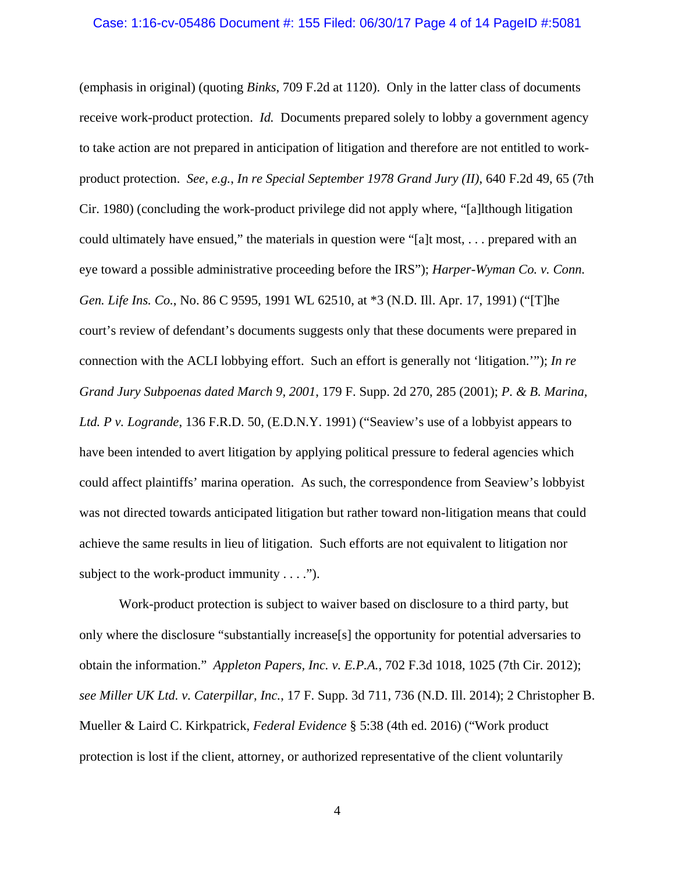#### Case: 1:16-cv-05486 Document #: 155 Filed: 06/30/17 Page 4 of 14 PageID #:5081

(emphasis in original) (quoting *Binks*, 709 F.2d at 1120). Only in the latter class of documents receive work-product protection. *Id.* Documents prepared solely to lobby a government agency to take action are not prepared in anticipation of litigation and therefore are not entitled to workproduct protection. *See, e.g.*, *In re Special September 1978 Grand Jury (II)*, 640 F.2d 49, 65 (7th Cir. 1980) (concluding the work-product privilege did not apply where, "[a]lthough litigation could ultimately have ensued," the materials in question were "[a]t most, . . . prepared with an eye toward a possible administrative proceeding before the IRS"); *Harper-Wyman Co. v. Conn. Gen. Life Ins. Co.*, No. 86 C 9595, 1991 WL 62510, at \*3 (N.D. Ill. Apr. 17, 1991) ("[T]he court's review of defendant's documents suggests only that these documents were prepared in connection with the ACLI lobbying effort. Such an effort is generally not 'litigation.'"); *In re Grand Jury Subpoenas dated March 9, 2001*, 179 F. Supp. 2d 270, 285 (2001); *P. & B. Marina, Ltd. P v. Logrande*, 136 F.R.D. 50, (E.D.N.Y. 1991) ("Seaview's use of a lobbyist appears to have been intended to avert litigation by applying political pressure to federal agencies which could affect plaintiffs' marina operation. As such, the correspondence from Seaview's lobbyist was not directed towards anticipated litigation but rather toward non-litigation means that could achieve the same results in lieu of litigation. Such efforts are not equivalent to litigation nor subject to the work-product immunity  $\dots$ .").

Work-product protection is subject to waiver based on disclosure to a third party, but only where the disclosure "substantially increase[s] the opportunity for potential adversaries to obtain the information." *Appleton Papers, Inc. v. E.P.A.*, 702 F.3d 1018, 1025 (7th Cir. 2012); *see Miller UK Ltd. v. Caterpillar, Inc.*, 17 F. Supp. 3d 711, 736 (N.D. Ill. 2014); 2 Christopher B. Mueller & Laird C. Kirkpatrick, *Federal Evidence* § 5:38 (4th ed. 2016) ("Work product protection is lost if the client, attorney, or authorized representative of the client voluntarily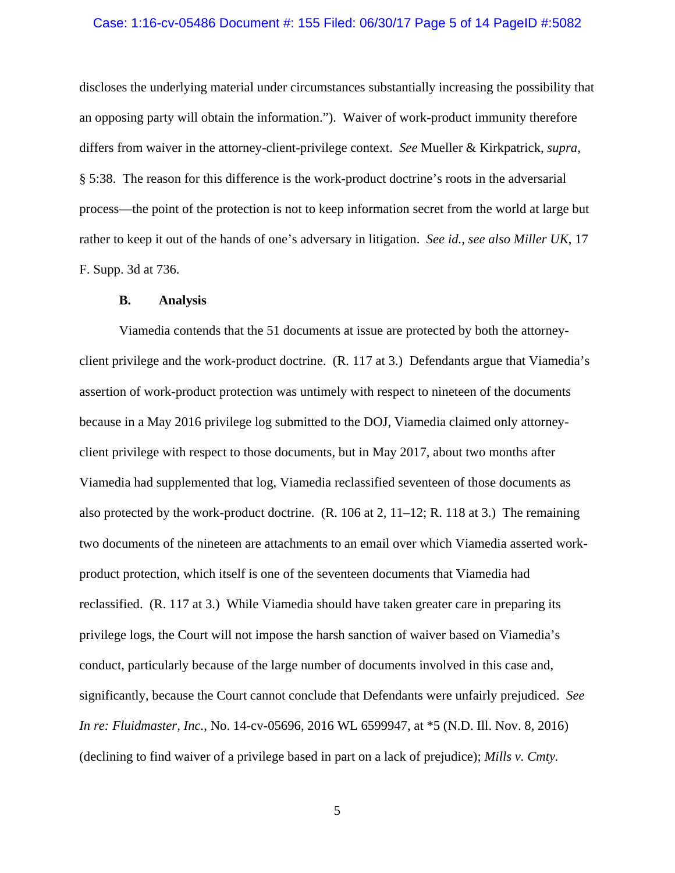#### Case: 1:16-cv-05486 Document #: 155 Filed: 06/30/17 Page 5 of 14 PageID #:5082

discloses the underlying material under circumstances substantially increasing the possibility that an opposing party will obtain the information."). Waiver of work-product immunity therefore differs from waiver in the attorney-client-privilege context. *See* Mueller & Kirkpatrick, *supra*, § 5:38. The reason for this difference is the work-product doctrine's roots in the adversarial process—the point of the protection is not to keep information secret from the world at large but rather to keep it out of the hands of one's adversary in litigation. *See id.*, *see also Miller UK*, 17 F. Supp. 3d at 736.

## **B. Analysis**

 Viamedia contends that the 51 documents at issue are protected by both the attorneyclient privilege and the work-product doctrine. (R. 117 at 3.) Defendants argue that Viamedia's assertion of work-product protection was untimely with respect to nineteen of the documents because in a May 2016 privilege log submitted to the DOJ, Viamedia claimed only attorneyclient privilege with respect to those documents, but in May 2017, about two months after Viamedia had supplemented that log, Viamedia reclassified seventeen of those documents as also protected by the work-product doctrine.  $(R. 106 \text{ at } 2, 11-12; R. 118 \text{ at } 3.)$  The remaining two documents of the nineteen are attachments to an email over which Viamedia asserted workproduct protection, which itself is one of the seventeen documents that Viamedia had reclassified. (R. 117 at 3.) While Viamedia should have taken greater care in preparing its privilege logs, the Court will not impose the harsh sanction of waiver based on Viamedia's conduct, particularly because of the large number of documents involved in this case and, significantly, because the Court cannot conclude that Defendants were unfairly prejudiced. *See In re: Fluidmaster, Inc.*, No. 14-cv-05696, 2016 WL 6599947, at \*5 (N.D. Ill. Nov. 8, 2016) (declining to find waiver of a privilege based in part on a lack of prejudice); *Mills v. Cmty.*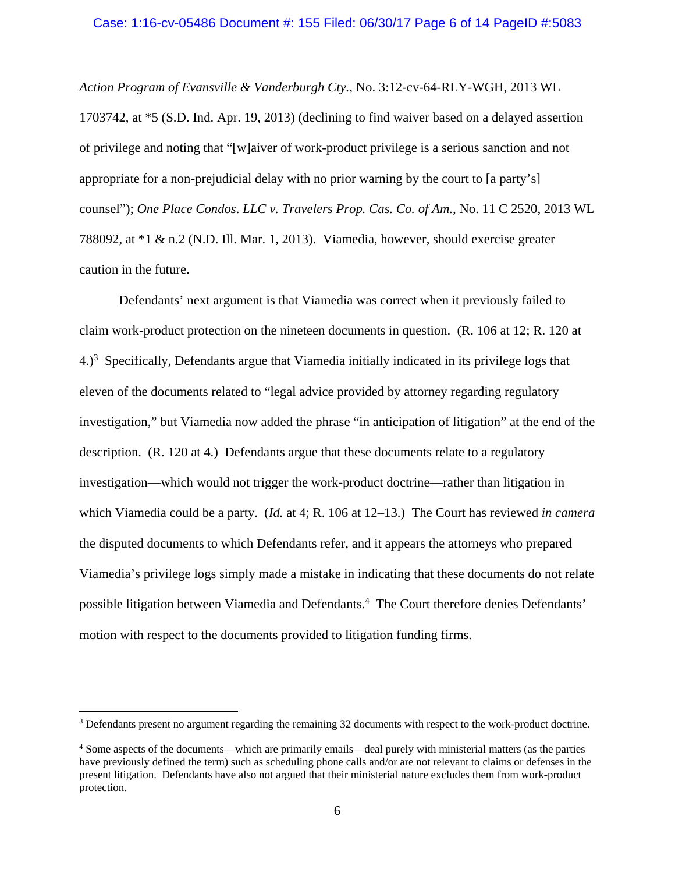## Case: 1:16-cv-05486 Document #: 155 Filed: 06/30/17 Page 6 of 14 PageID #:5083

*Action Program of Evansville & Vanderburgh Cty.*, No. 3:12-cv-64-RLY-WGH, 2013 WL 1703742, at \*5 (S.D. Ind. Apr. 19, 2013) (declining to find waiver based on a delayed assertion of privilege and noting that "[w]aiver of work-product privilege is a serious sanction and not appropriate for a non-prejudicial delay with no prior warning by the court to [a party's] counsel"); *One Place Condos*. *LLC v. Travelers Prop. Cas. Co. of Am.*, No. 11 C 2520, 2013 WL 788092, at \*1 & n.2 (N.D. Ill. Mar. 1, 2013). Viamedia, however, should exercise greater caution in the future.

 Defendants' next argument is that Viamedia was correct when it previously failed to claim work-product protection on the nineteen documents in question. (R. 106 at 12; R. 120 at  $4.$ )<sup>3</sup> Specifically, Defendants argue that Viamedia initially indicated in its privilege logs that eleven of the documents related to "legal advice provided by attorney regarding regulatory investigation," but Viamedia now added the phrase "in anticipation of litigation" at the end of the description. (R. 120 at 4.) Defendants argue that these documents relate to a regulatory investigation—which would not trigger the work-product doctrine—rather than litigation in which Viamedia could be a party. (*Id.* at 4; R. 106 at 12–13.) The Court has reviewed *in camera*  the disputed documents to which Defendants refer, and it appears the attorneys who prepared Viamedia's privilege logs simply made a mistake in indicating that these documents do not relate possible litigation between Viamedia and Defendants.<sup>4</sup> The Court therefore denies Defendants' motion with respect to the documents provided to litigation funding firms.

 $\overline{a}$ 

<sup>&</sup>lt;sup>3</sup> Defendants present no argument regarding the remaining 32 documents with respect to the work-product doctrine.

<sup>4</sup> Some aspects of the documents—which are primarily emails—deal purely with ministerial matters (as the parties have previously defined the term) such as scheduling phone calls and/or are not relevant to claims or defenses in the present litigation. Defendants have also not argued that their ministerial nature excludes them from work-product protection.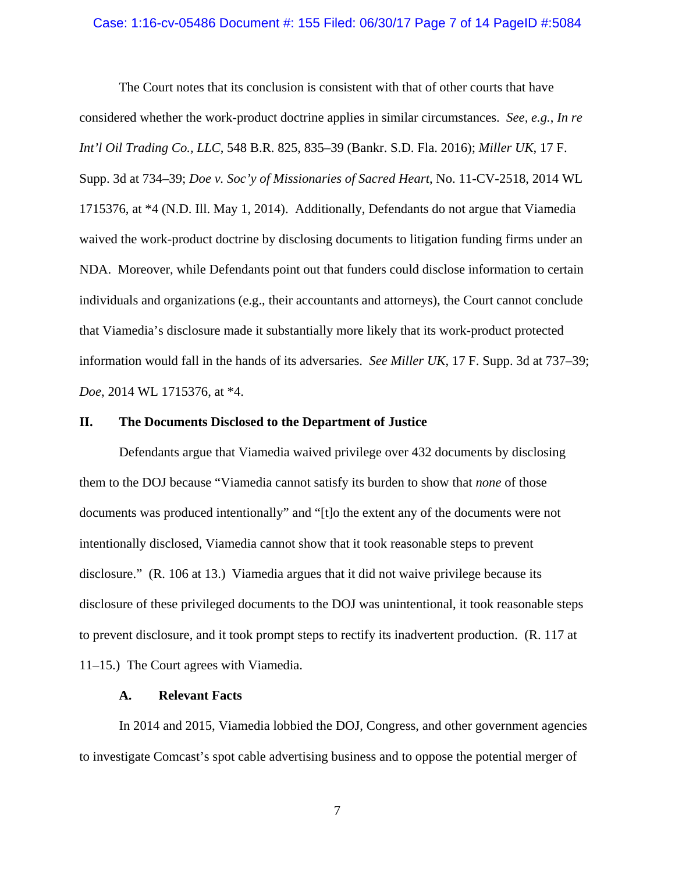#### Case: 1:16-cv-05486 Document #: 155 Filed: 06/30/17 Page 7 of 14 PageID #:5084

 The Court notes that its conclusion is consistent with that of other courts that have considered whether the work-product doctrine applies in similar circumstances. *See, e.g.*, *In re Int'l Oil Trading Co., LLC*, 548 B.R. 825, 835–39 (Bankr. S.D. Fla. 2016); *Miller UK*, 17 F. Supp. 3d at 734–39; *Doe v. Soc'y of Missionaries of Sacred Heart*, No. 11-CV-2518, 2014 WL 1715376, at \*4 (N.D. Ill. May 1, 2014). Additionally, Defendants do not argue that Viamedia waived the work-product doctrine by disclosing documents to litigation funding firms under an NDA. Moreover, while Defendants point out that funders could disclose information to certain individuals and organizations (e.g., their accountants and attorneys), the Court cannot conclude that Viamedia's disclosure made it substantially more likely that its work-product protected information would fall in the hands of its adversaries. *See Miller UK*, 17 F. Supp. 3d at 737–39; *Doe*, 2014 WL 1715376, at \*4.

## **II. The Documents Disclosed to the Department of Justice**

 Defendants argue that Viamedia waived privilege over 432 documents by disclosing them to the DOJ because "Viamedia cannot satisfy its burden to show that *none* of those documents was produced intentionally" and "[t]o the extent any of the documents were not intentionally disclosed, Viamedia cannot show that it took reasonable steps to prevent disclosure." (R. 106 at 13.) Viamedia argues that it did not waive privilege because its disclosure of these privileged documents to the DOJ was unintentional, it took reasonable steps to prevent disclosure, and it took prompt steps to rectify its inadvertent production. (R. 117 at 11–15.) The Court agrees with Viamedia.

#### **A. Relevant Facts**

In 2014 and 2015, Viamedia lobbied the DOJ, Congress, and other government agencies to investigate Comcast's spot cable advertising business and to oppose the potential merger of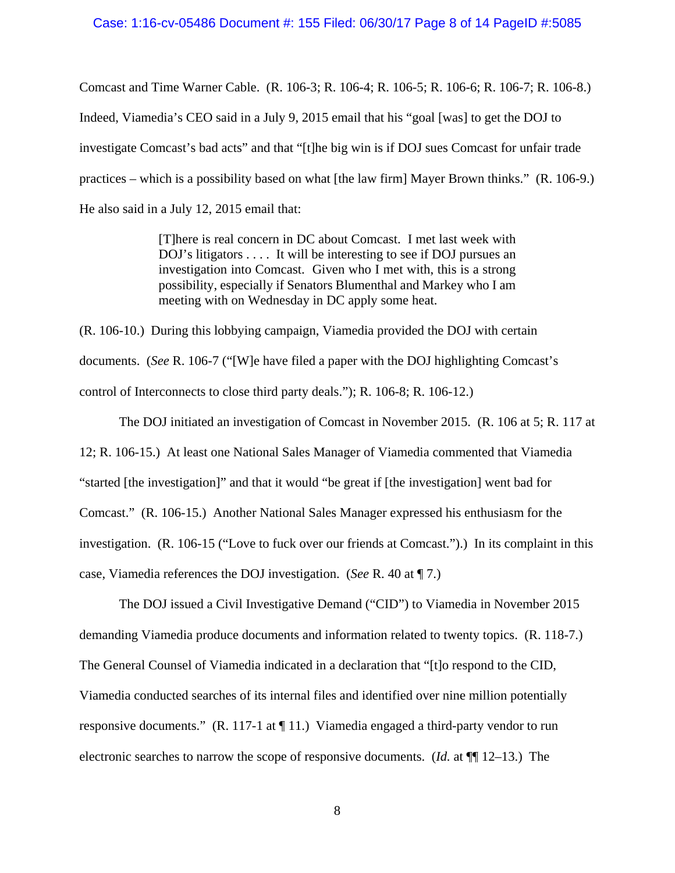#### Case: 1:16-cv-05486 Document #: 155 Filed: 06/30/17 Page 8 of 14 PageID #:5085

Comcast and Time Warner Cable. (R. 106-3; R. 106-4; R. 106-5; R. 106-6; R. 106-7; R. 106-8.) Indeed, Viamedia's CEO said in a July 9, 2015 email that his "goal [was] to get the DOJ to investigate Comcast's bad acts" and that "[t]he big win is if DOJ sues Comcast for unfair trade practices – which is a possibility based on what [the law firm] Mayer Brown thinks." (R. 106-9.) He also said in a July 12, 2015 email that:

> [T]here is real concern in DC about Comcast. I met last week with DOJ's litigators . . . . It will be interesting to see if DOJ pursues an investigation into Comcast. Given who I met with, this is a strong possibility, especially if Senators Blumenthal and Markey who I am meeting with on Wednesday in DC apply some heat.

(R. 106-10.) During this lobbying campaign, Viamedia provided the DOJ with certain documents. (*See* R. 106-7 ("[W]e have filed a paper with the DOJ highlighting Comcast's control of Interconnects to close third party deals."); R. 106-8; R. 106-12.)

 The DOJ initiated an investigation of Comcast in November 2015. (R. 106 at 5; R. 117 at 12; R. 106-15.) At least one National Sales Manager of Viamedia commented that Viamedia "started [the investigation]" and that it would "be great if [the investigation] went bad for Comcast." (R. 106-15.) Another National Sales Manager expressed his enthusiasm for the investigation. (R. 106-15 ("Love to fuck over our friends at Comcast.").) In its complaint in this case, Viamedia references the DOJ investigation. (*See* R. 40 at ¶ 7.)

 The DOJ issued a Civil Investigative Demand ("CID") to Viamedia in November 2015 demanding Viamedia produce documents and information related to twenty topics. (R. 118-7.) The General Counsel of Viamedia indicated in a declaration that "[t]o respond to the CID, Viamedia conducted searches of its internal files and identified over nine million potentially responsive documents." (R. 117-1 at ¶ 11.) Viamedia engaged a third-party vendor to run electronic searches to narrow the scope of responsive documents. (*Id.* at ¶¶ 12–13.) The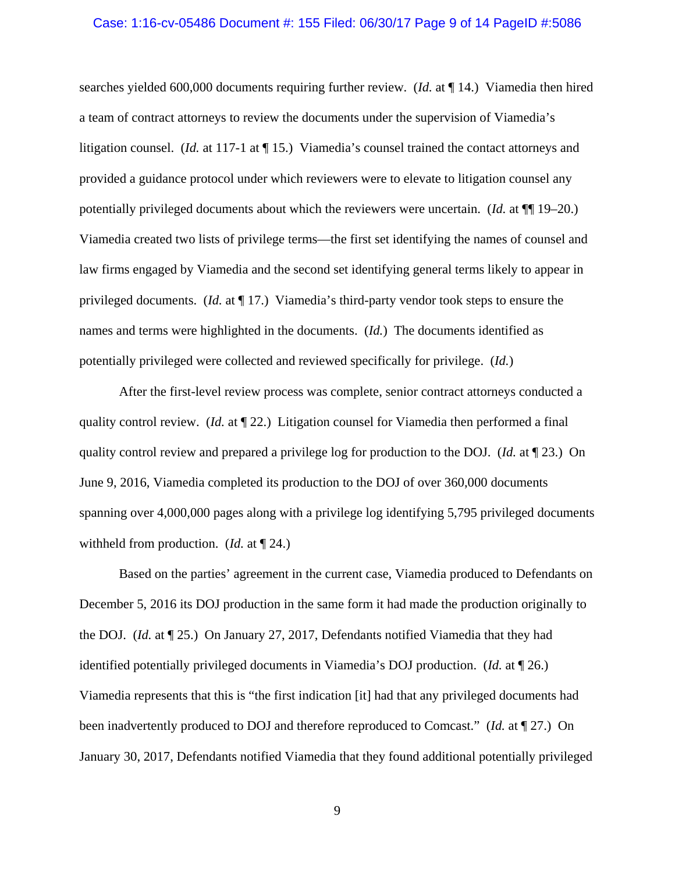#### Case: 1:16-cv-05486 Document #: 155 Filed: 06/30/17 Page 9 of 14 PageID #:5086

searches yielded 600,000 documents requiring further review. (*Id.* at ¶ 14.) Viamedia then hired a team of contract attorneys to review the documents under the supervision of Viamedia's litigation counsel. (*Id.* at 117-1 at ¶ 15.) Viamedia's counsel trained the contact attorneys and provided a guidance protocol under which reviewers were to elevate to litigation counsel any potentially privileged documents about which the reviewers were uncertain. (*Id.* at ¶¶ 19–20.) Viamedia created two lists of privilege terms—the first set identifying the names of counsel and law firms engaged by Viamedia and the second set identifying general terms likely to appear in privileged documents. (*Id.* at ¶ 17.) Viamedia's third-party vendor took steps to ensure the names and terms were highlighted in the documents. (*Id.*) The documents identified as potentially privileged were collected and reviewed specifically for privilege. (*Id.*)

 After the first-level review process was complete, senior contract attorneys conducted a quality control review. (*Id.* at ¶ 22.) Litigation counsel for Viamedia then performed a final quality control review and prepared a privilege log for production to the DOJ. (*Id.* at ¶ 23.) On June 9, 2016, Viamedia completed its production to the DOJ of over 360,000 documents spanning over 4,000,000 pages along with a privilege log identifying 5,795 privileged documents withheld from production. (*Id.* at ¶ 24.)

 Based on the parties' agreement in the current case, Viamedia produced to Defendants on December 5, 2016 its DOJ production in the same form it had made the production originally to the DOJ. (*Id.* at ¶ 25.) On January 27, 2017, Defendants notified Viamedia that they had identified potentially privileged documents in Viamedia's DOJ production. (*Id.* at ¶ 26.) Viamedia represents that this is "the first indication [it] had that any privileged documents had been inadvertently produced to DOJ and therefore reproduced to Comcast." (*Id.* at ¶ 27.) On January 30, 2017, Defendants notified Viamedia that they found additional potentially privileged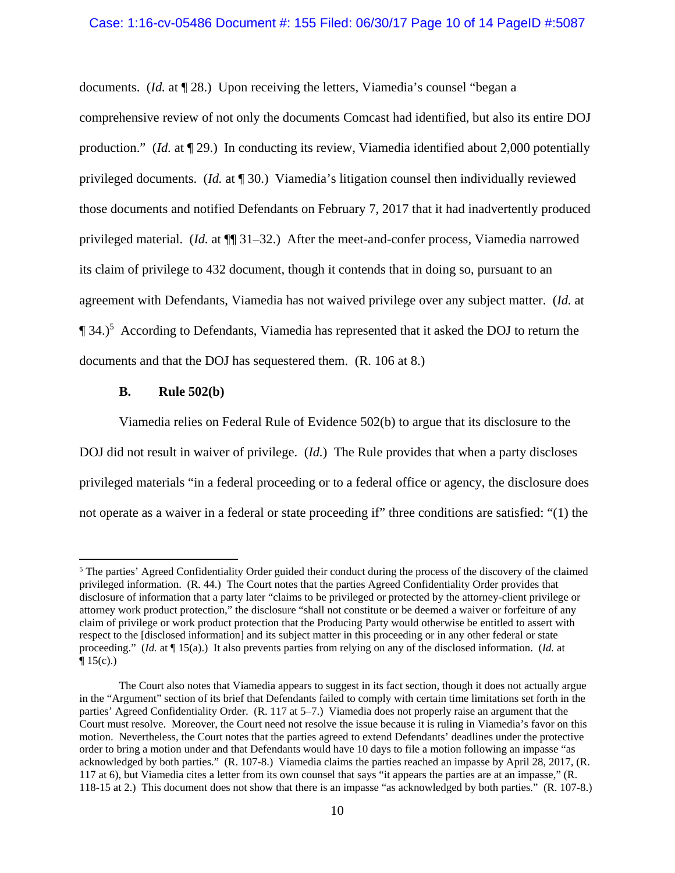## Case: 1:16-cv-05486 Document #: 155 Filed: 06/30/17 Page 10 of 14 PageID #:5087

documents. (*Id.* at ¶ 28.) Upon receiving the letters, Viamedia's counsel "began a comprehensive review of not only the documents Comcast had identified, but also its entire DOJ production." (*Id.* at ¶ 29.) In conducting its review, Viamedia identified about 2,000 potentially privileged documents. (*Id.* at ¶ 30.) Viamedia's litigation counsel then individually reviewed those documents and notified Defendants on February 7, 2017 that it had inadvertently produced privileged material. (*Id.* at ¶¶ 31–32.) After the meet-and-confer process, Viamedia narrowed its claim of privilege to 432 document, though it contends that in doing so, pursuant to an agreement with Defendants, Viamedia has not waived privilege over any subject matter. (*Id.* at  $\P$  34.)<sup>5</sup> According to Defendants, Viamedia has represented that it asked the DOJ to return the documents and that the DOJ has sequestered them. (R. 106 at 8.)

## **B. Rule 502(b)**

 $\overline{a}$ 

 Viamedia relies on Federal Rule of Evidence 502(b) to argue that its disclosure to the DOJ did not result in waiver of privilege. (*Id.*) The Rule provides that when a party discloses privileged materials "in a federal proceeding or to a federal office or agency, the disclosure does not operate as a waiver in a federal or state proceeding if" three conditions are satisfied: "(1) the

<sup>&</sup>lt;sup>5</sup> The parties' Agreed Confidentiality Order guided their conduct during the process of the discovery of the claimed privileged information. (R. 44.) The Court notes that the parties Agreed Confidentiality Order provides that disclosure of information that a party later "claims to be privileged or protected by the attorney-client privilege or attorney work product protection," the disclosure "shall not constitute or be deemed a waiver or forfeiture of any claim of privilege or work product protection that the Producing Party would otherwise be entitled to assert with respect to the [disclosed information] and its subject matter in this proceeding or in any other federal or state proceeding." (*Id.* at ¶ 15(a).) It also prevents parties from relying on any of the disclosed information. (*Id.* at  $\P 15(c)$ .)

The Court also notes that Viamedia appears to suggest in its fact section, though it does not actually argue in the "Argument" section of its brief that Defendants failed to comply with certain time limitations set forth in the parties' Agreed Confidentiality Order. (R. 117 at 5–7.) Viamedia does not properly raise an argument that the Court must resolve. Moreover, the Court need not resolve the issue because it is ruling in Viamedia's favor on this motion. Nevertheless, the Court notes that the parties agreed to extend Defendants' deadlines under the protective order to bring a motion under and that Defendants would have 10 days to file a motion following an impasse "as acknowledged by both parties." (R. 107-8.) Viamedia claims the parties reached an impasse by April 28, 2017, (R. 117 at 6), but Viamedia cites a letter from its own counsel that says "it appears the parties are at an impasse," (R. 118-15 at 2.) This document does not show that there is an impasse "as acknowledged by both parties." (R. 107-8.)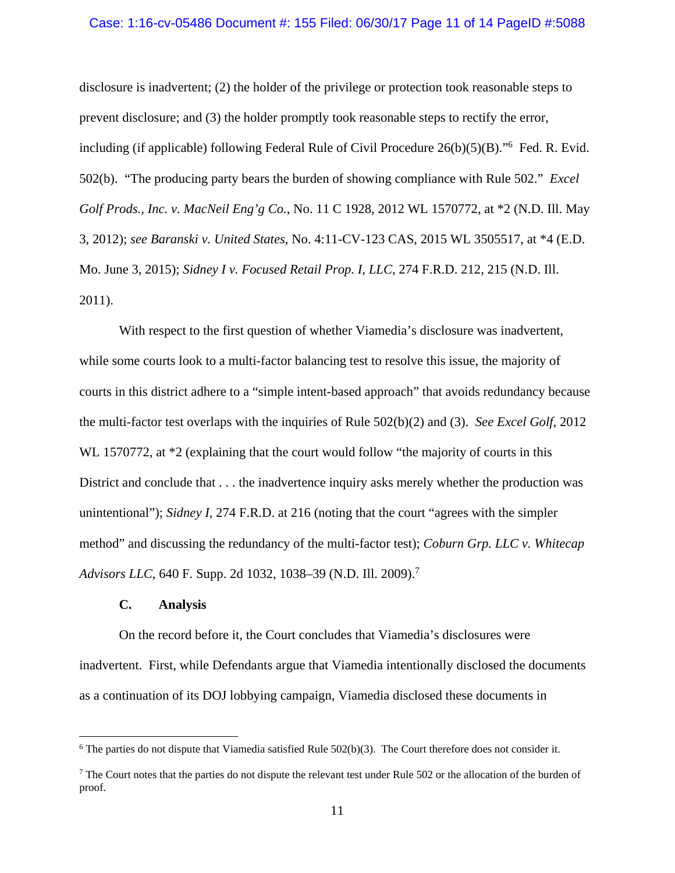#### Case: 1:16-cv-05486 Document #: 155 Filed: 06/30/17 Page 11 of 14 PageID #:5088

disclosure is inadvertent; (2) the holder of the privilege or protection took reasonable steps to prevent disclosure; and (3) the holder promptly took reasonable steps to rectify the error, including (if applicable) following Federal Rule of Civil Procedure 26(b)(5)(B)."6 Fed. R. Evid. 502(b). "The producing party bears the burden of showing compliance with Rule 502." *Excel Golf Prods., Inc. v. MacNeil Eng'g Co.*, No. 11 C 1928, 2012 WL 1570772, at \*2 (N.D. Ill. May 3, 2012); *see Baranski v. United States*, No. 4:11-CV-123 CAS, 2015 WL 3505517, at \*4 (E.D. Mo. June 3, 2015); *Sidney I v. Focused Retail Prop. I, LLC*, 274 F.R.D. 212, 215 (N.D. Ill. 2011).

 With respect to the first question of whether Viamedia's disclosure was inadvertent, while some courts look to a multi-factor balancing test to resolve this issue, the majority of courts in this district adhere to a "simple intent-based approach" that avoids redundancy because the multi-factor test overlaps with the inquiries of Rule 502(b)(2) and (3). *See Excel Golf*, 2012 WL 1570772, at  $*2$  (explaining that the court would follow "the majority of courts in this District and conclude that . . . the inadvertence inquiry asks merely whether the production was unintentional"); *Sidney I*, 274 F.R.D. at 216 (noting that the court "agrees with the simpler method" and discussing the redundancy of the multi-factor test); *Coburn Grp. LLC v. Whitecap Advisors LLC*, 640 F. Supp. 2d 1032, 1038–39 (N.D. Ill. 2009).<sup>7</sup>

## **C. Analysis**

 $\overline{a}$ 

On the record before it, the Court concludes that Viamedia's disclosures were inadvertent. First, while Defendants argue that Viamedia intentionally disclosed the documents as a continuation of its DOJ lobbying campaign, Viamedia disclosed these documents in

 $6$  The parties do not dispute that Viamedia satisfied Rule  $502(b)(3)$ . The Court therefore does not consider it.

 $<sup>7</sup>$  The Court notes that the parties do not dispute the relevant test under Rule 502 or the allocation of the burden of</sup> proof.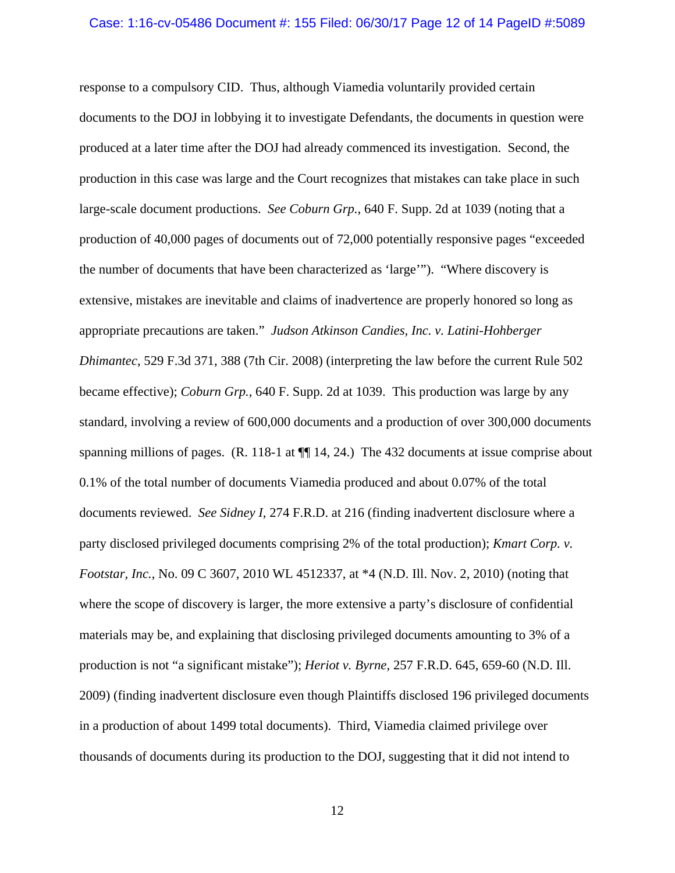# Case: 1:16-cv-05486 Document #: 155 Filed: 06/30/17 Page 12 of 14 PageID #:5089

response to a compulsory CID. Thus, although Viamedia voluntarily provided certain documents to the DOJ in lobbying it to investigate Defendants, the documents in question were produced at a later time after the DOJ had already commenced its investigation. Second, the production in this case was large and the Court recognizes that mistakes can take place in such large-scale document productions. *See Coburn Grp.*, 640 F. Supp. 2d at 1039 (noting that a production of 40,000 pages of documents out of 72,000 potentially responsive pages "exceeded the number of documents that have been characterized as 'large'"). "Where discovery is extensive, mistakes are inevitable and claims of inadvertence are properly honored so long as appropriate precautions are taken." *Judson Atkinson Candies, Inc. v. Latini-Hohberger Dhimantec*, 529 F.3d 371, 388 (7th Cir. 2008) (interpreting the law before the current Rule 502 became effective); *Coburn Grp.*, 640 F. Supp. 2d at 1039. This production was large by any standard, involving a review of 600,000 documents and a production of over 300,000 documents spanning millions of pages. (R. 118-1 at  $\P$  14, 24.) The 432 documents at issue comprise about 0.1% of the total number of documents Viamedia produced and about 0.07% of the total documents reviewed. *See Sidney I*, 274 F.R.D. at 216 (finding inadvertent disclosure where a party disclosed privileged documents comprising 2% of the total production); *Kmart Corp. v. Footstar, Inc.*, No. 09 C 3607, 2010 WL 4512337, at \*4 (N.D. Ill. Nov. 2, 2010) (noting that where the scope of discovery is larger, the more extensive a party's disclosure of confidential materials may be, and explaining that disclosing privileged documents amounting to 3% of a production is not "a significant mistake"); *Heriot v. Byrne*, 257 F.R.D. 645, 659-60 (N.D. Ill. 2009) (finding inadvertent disclosure even though Plaintiffs disclosed 196 privileged documents in a production of about 1499 total documents).Third, Viamedia claimed privilege over thousands of documents during its production to the DOJ, suggesting that it did not intend to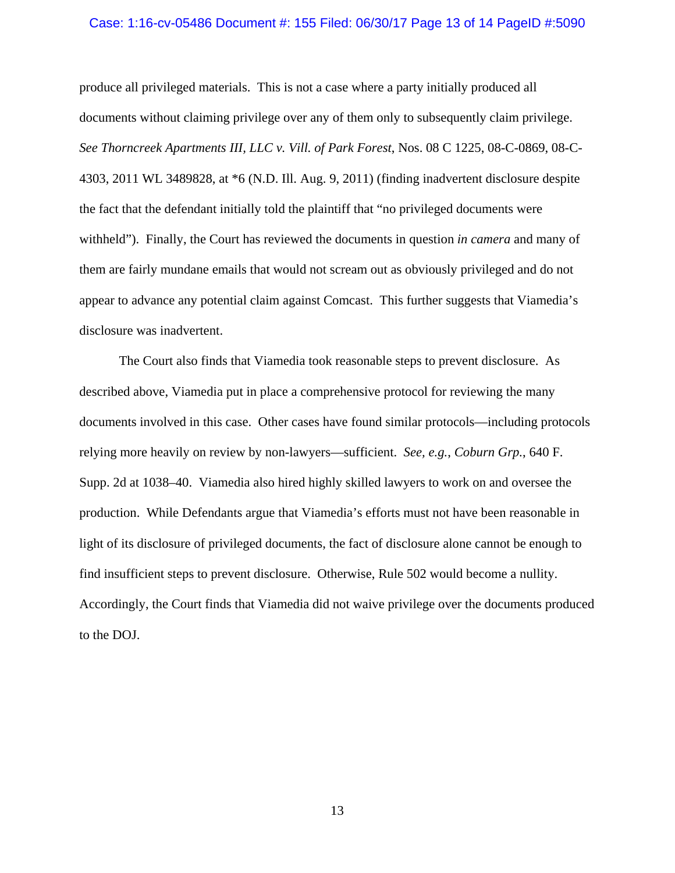#### Case: 1:16-cv-05486 Document #: 155 Filed: 06/30/17 Page 13 of 14 PageID #:5090

produce all privileged materials. This is not a case where a party initially produced all documents without claiming privilege over any of them only to subsequently claim privilege. *See Thorncreek Apartments III, LLC v. Vill. of Park Forest*, Nos. 08 C 1225, 08-C-0869, 08-C-4303, 2011 WL 3489828, at \*6 (N.D. Ill. Aug. 9, 2011) (finding inadvertent disclosure despite the fact that the defendant initially told the plaintiff that "no privileged documents were withheld"). Finally, the Court has reviewed the documents in question *in camera* and many of them are fairly mundane emails that would not scream out as obviously privileged and do not appear to advance any potential claim against Comcast. This further suggests that Viamedia's disclosure was inadvertent.

The Court also finds that Viamedia took reasonable steps to prevent disclosure. As described above, Viamedia put in place a comprehensive protocol for reviewing the many documents involved in this case. Other cases have found similar protocols—including protocols relying more heavily on review by non-lawyers—sufficient. *See, e.g.*, *Coburn Grp.*, 640 F. Supp. 2d at 1038–40. Viamedia also hired highly skilled lawyers to work on and oversee the production. While Defendants argue that Viamedia's efforts must not have been reasonable in light of its disclosure of privileged documents, the fact of disclosure alone cannot be enough to find insufficient steps to prevent disclosure. Otherwise, Rule 502 would become a nullity. Accordingly, the Court finds that Viamedia did not waive privilege over the documents produced to the DOJ.